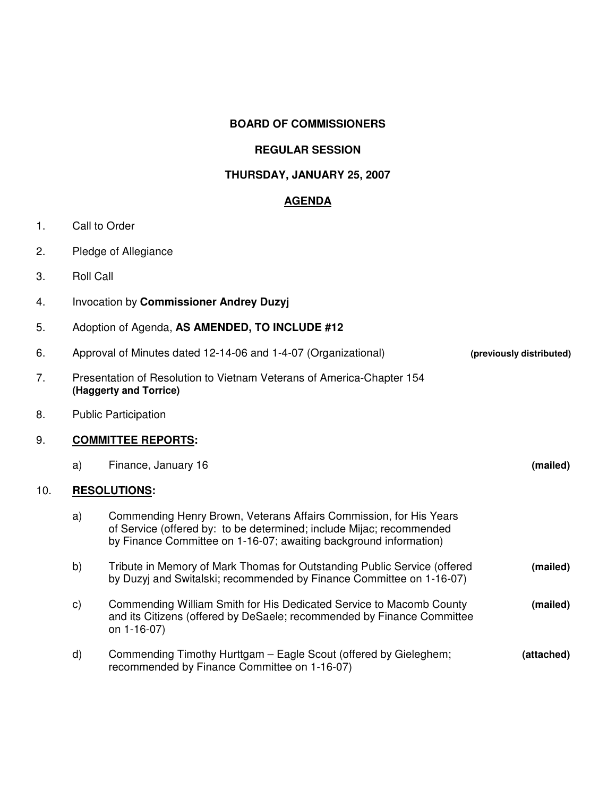## **BOARD OF COMMISSIONERS**

## **REGULAR SESSION**

# **THURSDAY, JANUARY 25, 2007**

## **AGENDA**

- 1. Call to Order
- 2. Pledge of Allegiance
- 3. Roll Call
- 4. Invocation by **Commissioner Andrey Duzyj**
- 5. Adoption of Agenda, **AS AMENDED, TO INCLUDE #12**
- 6. Approval of Minutes dated 12-14-06 and 1-4-07 (Organizational) **(previously distributed)**
- 7. Presentation of Resolution to Vietnam Veterans of America-Chapter 154 **(Haggerty and Torrice)**
- 8. Public Participation

#### 9. **COMMITTEE REPORTS:**

- a) Finance, January 16 **(mailed)** 10. **RESOLUTIONS:** a) Commending Henry Brown, Veterans Affairs Commission, for His Years
	- of Service (offered by: to be determined; include Mijac; recommended by Finance Committee on 1-16-07; awaiting background information) b) Tribute in Memory of Mark Thomas for Outstanding Public Service (offered **(mailed)** by Duzyj and Switalski; recommended by Finance Committee on 1-16-07) c) Commending William Smith for His Dedicated Service to Macomb County **(mailed)** and its Citizens (offered by DeSaele; recommended by Finance Committee on 1-16-07) d) Commending Timothy Hurttgam – Eagle Scout (offered by Gieleghem; **(attached)** recommended by Finance Committee on 1-16-07)